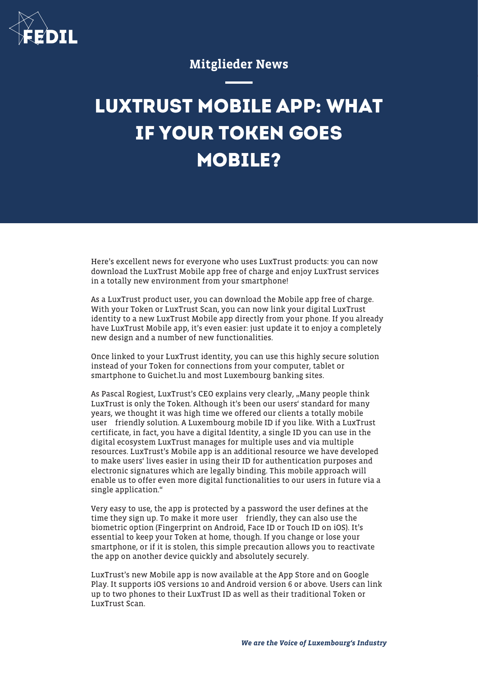

## Mitglieder News

## **LUXTRUST MOBILE APP: WHAT IF YOUR TOKEN GOES MOBILE?**

Here's excellent news for everyone who uses LuxTrust products: you can now download the LuxTrust Mobile app free of charge and enjoy LuxTrust services in a totally new environment from your smartphone!

As a LuxTrust product user, you can download the Mobile app free of charge. With your Token or LuxTrust Scan, you can now link your digital LuxTrust identity to a new LuxTrust Mobile app directly from your phone. If you already have LuxTrust Mobile app, it's even easier: just update it to enjoy a completely new design and a number of new functionalities.

Once linked to your LuxTrust identity, you can use this highly secure solution instead of your Token for connections from your computer, tablet or smartphone to Guichet.lu and most Luxembourg banking sites.

As Pascal Rogiest, LuxTrust's CEO explains very clearly, "Many people think LuxTrust is only the Token. Although it's been our users' standard for many years, we thought it was high time we offered our clients a totally mobile user friendly solution. A Luxembourg mobile ID if you like. With a LuxTrust certificate, in fact, you have a digital Identity, a single ID you can use in the digital ecosystem LuxTrust manages for multiple uses and via multiple resources. LuxTrust's Mobile app is an additional resource we have developed to make users' lives easier in using their ID for authentication purposes and electronic signatures which are legally binding. This mobile approach will enable us to offer even more digital functionalities to our users in future via a single application."

Very easy to use, the app is protected by a password the user defines at the time they sign up. To make it more user friendly, they can also use the biometric option (Fingerprint on Android, Face ID or Touch ID on iOS). It's essential to keep your Token at home, though. If you change or lose your smartphone, or if it is stolen, this simple precaution allows you to reactivate the app on another device quickly and absolutely securely.

LuxTrust's new Mobile app is now available at the App Store and on Google Play. It supports iOS versions 10 and Android version 6 or above. Users can link up to two phones to their LuxTrust ID as well as their traditional Token or LuxTrust Scan.